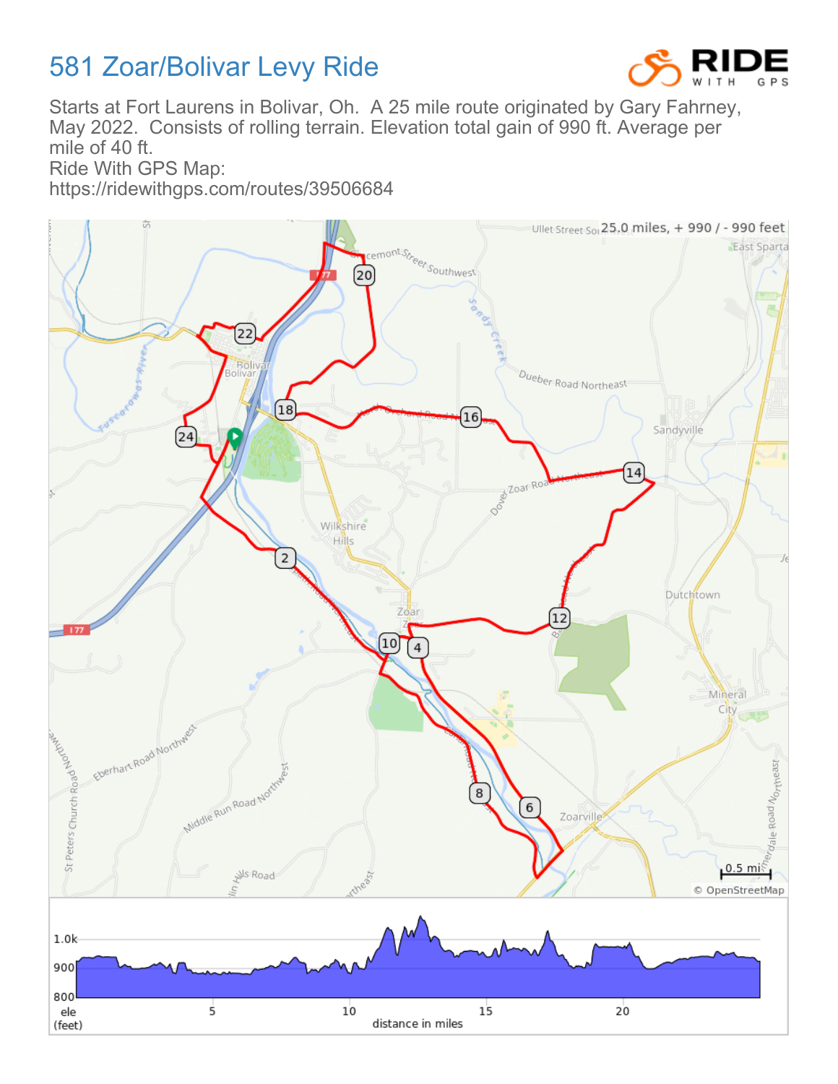## 581 Zoar/Bolivar Levy Ride



Starts at Fort Laurens in Bolivar, Oh. A 25 mile route originated by Gary Fahrney, May 2022. Consists of rolling terrain. Elevation total gain of 990 ft. Average per mile of 40 ft.

Ride With GPS Map:

https://ridewithgps.com/routes/39506684